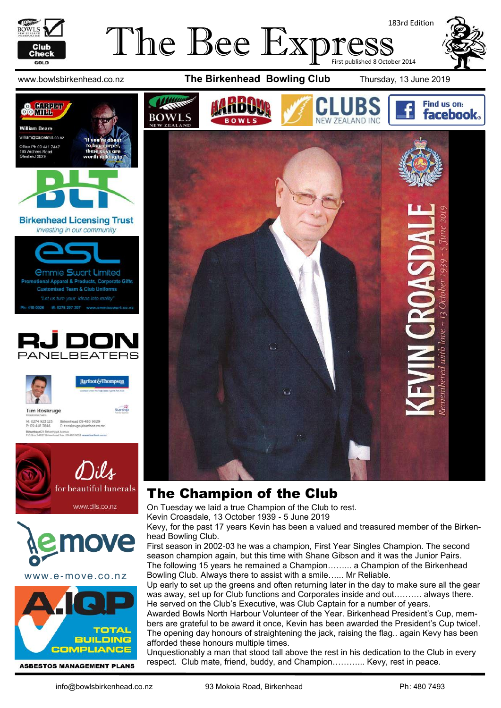

COMPETE **OOMIH** 

> **Tim Roskruge** M: 0274 923 125<br>P: 09 418 3846

Birkenhead 24 Briten

**William Beare** m@carpetmill.co.na william@carpetmill.co.<br>Office Ph 09 441 7447<br>195 Archers Road Archers R<br>nfield 0629

#### The Bee Expres 183rd Edition First published 8 October 2014





#### The Champion of the Club

On Tuesday we laid a true Champion of the Club to rest.

Kevin Croasdale, 13 October 1939 - 5 June 2019

Kevy, for the past 17 years Kevin has been a valued and treasured member of the Birkenhead Bowling Club.

First season in 2002-03 he was a champion, First Year Singles Champion. The second season champion again, but this time with Shane Gibson and it was the Junior Pairs. The following 15 years he remained a Champion……... a Champion of the Birkenhead Bowling Club. Always there to assist with a smile…... Mr Reliable.

Up early to set up the greens and often returning later in the day to make sure all the gear was away, set up for Club functions and Corporates inside and out………. always there. He served on the Club's Executive, was Club Captain for a number of years.

Awarded Bowls North Harbour Volunteer of the Year. Birkenhead President's Cup, members are grateful to be award it once, Kevin has been awarded the President's Cup twice!. The opening day honours of straightening the jack, raising the flag.. again Kevy has been afforded these honours multiple times.

Unquestionably a man that stood tall above the rest in his dedication to the Club in every respect. Club mate, friend, buddy, and Champion………... Kevy, rest in peace.

www.e-move.co.nz

www.dils.co.nz

: Avenue<br>I Fax. 09-480 9018 www.barf

**TOTAL BUILDING COMPLIANCE** 

Find us on:

m

**facebook**